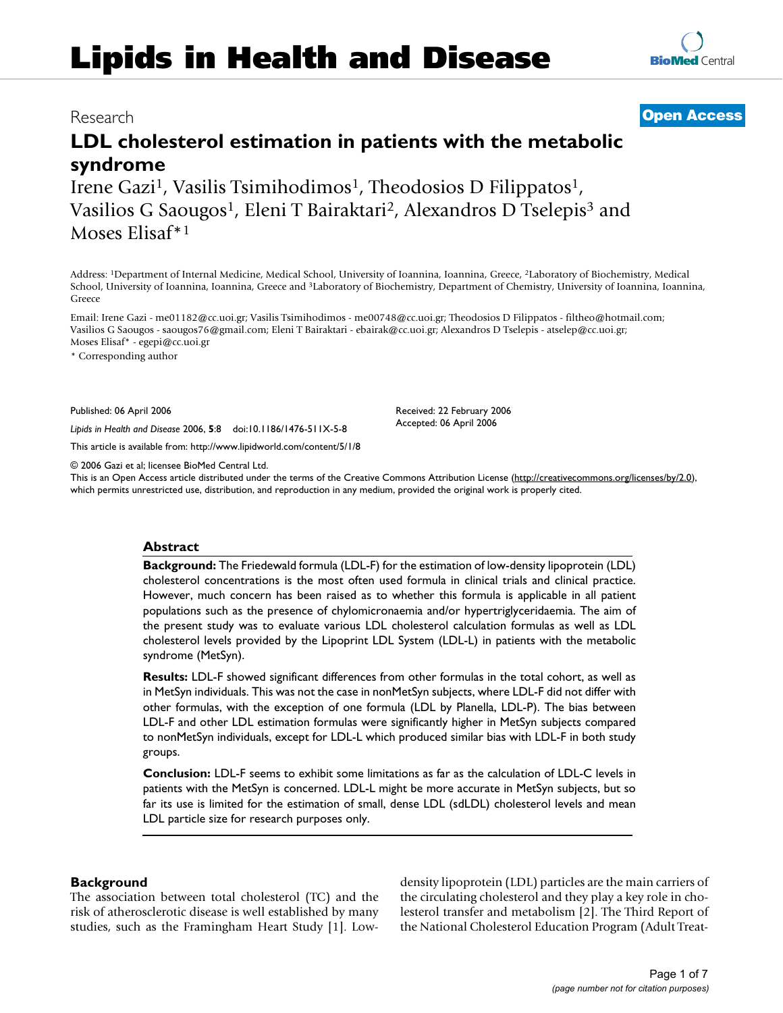# **Lipids in Health and Disease**

# **LDL cholesterol estimation in patients with the metabolic syndrome**

Irene Gazi<sup>1</sup>, Vasilis Tsimihodimos<sup>1</sup>, Theodosios D Filippatos<sup>1</sup>, Vasilios G Saougos<sup>1</sup>, Eleni T Bairaktari<sup>2</sup>, Alexandros D Tselepis<sup>3</sup> and Moses Elisaf\*1

Address: 1Department of Internal Medicine, Medical School, University of Ioannina, Ioannina, Greece, 2Laboratory of Biochemistry, Medical School, University of Ioannina, Ioannina, Greece and 3Laboratory of Biochemistry, Department of Chemistry, University of Ioannina, Ioannina, Greece

Email: Irene Gazi - me01182@cc.uoi.gr; Vasilis Tsimihodimos - me00748@cc.uoi.gr; Theodosios D Filippatos - filtheo@hotmail.com; Vasilios G Saougos - saougos76@gmail.com; Eleni T Bairaktari - ebairak@cc.uoi.gr; Alexandros D Tselepis - atselep@cc.uoi.gr; Moses Elisaf\* - egepi@cc.uoi.gr

\* Corresponding author

Published: 06 April 2006

*Lipids in Health and Disease* 2006, **5**:8 doi:10.1186/1476-511X-5-8

[This article is available from: http://www.lipidworld.com/content/5/1/8](http://www.lipidworld.com/content/5/1/8)

© 2006 Gazi et al; licensee BioMed Central Ltd.

This is an Open Access article distributed under the terms of the Creative Commons Attribution License [\(http://creativecommons.org/licenses/by/2.0\)](http://creativecommons.org/licenses/by/2.0), which permits unrestricted use, distribution, and reproduction in any medium, provided the original work is properly cited.

#### **Abstract**

**Background:** The Friedewald formula (LDL-F) for the estimation of low-density lipoprotein (LDL) cholesterol concentrations is the most often used formula in clinical trials and clinical practice. However, much concern has been raised as to whether this formula is applicable in all patient populations such as the presence of chylomicronaemia and/or hypertriglyceridaemia. The aim of the present study was to evaluate various LDL cholesterol calculation formulas as well as LDL cholesterol levels provided by the Lipoprint LDL System (LDL-L) in patients with the metabolic syndrome (MetSyn).

**Results:** LDL-F showed significant differences from other formulas in the total cohort, as well as in MetSyn individuals. This was not the case in nonMetSyn subjects, where LDL-F did not differ with other formulas, with the exception of one formula (LDL by Planella, LDL-P). The bias between LDL-F and other LDL estimation formulas were significantly higher in MetSyn subjects compared to nonMetSyn individuals, except for LDL-L which produced similar bias with LDL-F in both study groups.

**Conclusion:** LDL-F seems to exhibit some limitations as far as the calculation of LDL-C levels in patients with the MetSyn is concerned. LDL-L might be more accurate in MetSyn subjects, but so far its use is limited for the estimation of small, dense LDL (sdLDL) cholesterol levels and mean LDL particle size for research purposes only.

#### **Background**

The association between total cholesterol (TC) and the risk of atherosclerotic disease is well established by many studies, such as the Framingham Heart Study [1]. Lowdensity lipoprotein (LDL) particles are the main carriers of the circulating cholesterol and they play a key role in cholesterol transfer and metabolism [2]. The Third Report of the National Cholesterol Education Program (Adult Treat-

## Research **[Open Access](http://www.biomedcentral.com/info/about/charter/)**

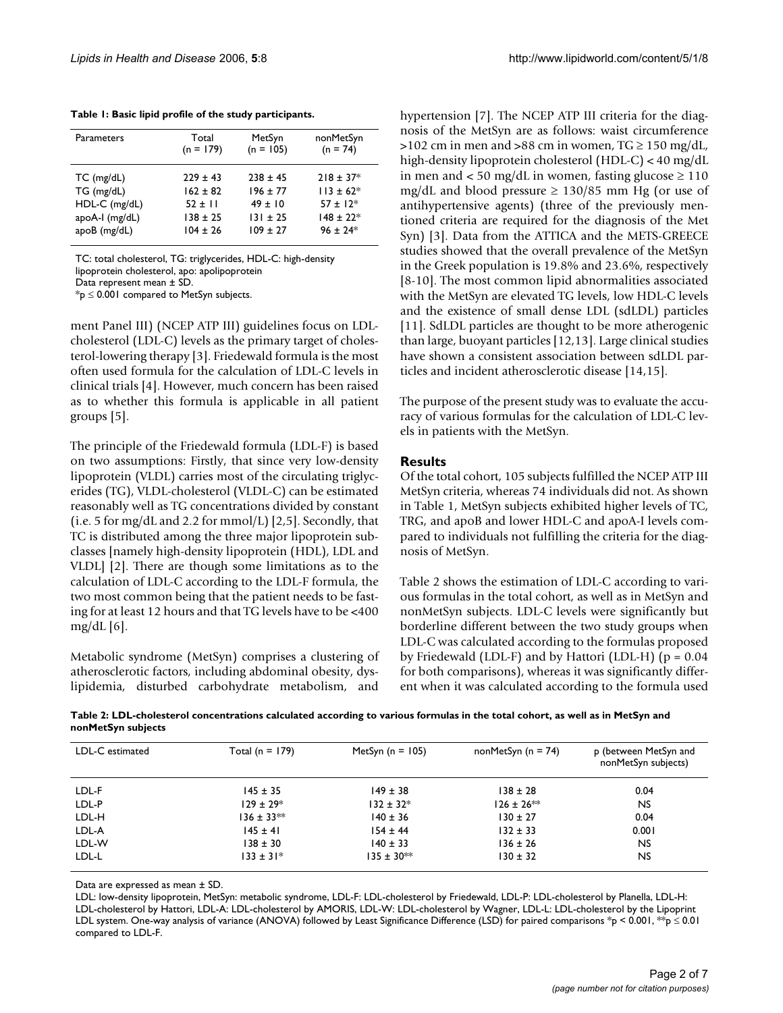**Table 1: Basic lipid profile of the study participants.**

| Parameters     | Total        | MetSyn       | nonMetSyn      |
|----------------|--------------|--------------|----------------|
|                | $(n = 179)$  | $(n = 105)$  | $(n = 74)$     |
| $TC$ (mg/dL)   | $229 \pm 43$ | $238 \pm 45$ | $218 \pm 37*$  |
| $TG$ (mg/dL)   | $162 \pm 82$ | $196 \pm 77$ | $113 \pm 62$ * |
| HDL-C (mg/dL)  | $52 \pm 11$  | $49 \pm 10$  | $57 \pm 12*$   |
| apoA-I (mg/dL) | $138 \pm 25$ | $131 \pm 25$ | $148 \pm 22$ * |
| apoB (mg/dL)   | $104 \pm 26$ | $109 \pm 27$ | $96 \pm 24*$   |

TC: total cholesterol, TG: triglycerides, HDL-C: high-density lipoprotein cholesterol, apo: apolipoprotein Data represent mean ± SD.

 $*_{p} \leq 0.001$  compared to MetSyn subjects.

ment Panel III) (NCEP ATP III) guidelines focus on LDLcholesterol (LDL-C) levels as the primary target of cholesterol-lowering therapy [3]. Friedewald formula is the most often used formula for the calculation of LDL-C levels in clinical trials [4]. However, much concern has been raised as to whether this formula is applicable in all patient groups [5].

The principle of the Friedewald formula (LDL-F) is based on two assumptions: Firstly, that since very low-density lipoprotein (VLDL) carries most of the circulating triglycerides (TG), VLDL-cholesterol (VLDL-C) can be estimated reasonably well as TG concentrations divided by constant (i.e. 5 for mg/dL and 2.2 for  $mmol/L$ ) [2,5]. Secondly, that TC is distributed among the three major lipoprotein subclasses [namely high-density lipoprotein (HDL), LDL and VLDL] [2]. There are though some limitations as to the calculation of LDL-C according to the LDL-F formula, the two most common being that the patient needs to be fasting for at least 12 hours and that TG levels have to be <400 mg/dL [6].

Metabolic syndrome (MetSyn) comprises a clustering of atherosclerotic factors, including abdominal obesity, dyslipidemia, disturbed carbohydrate metabolism, and hypertension [7]. The NCEP ATP III criteria for the diagnosis of the MetSyn are as follows: waist circumference >102 cm in men and >88 cm in women,  $TG \ge 150$  mg/dL, high-density lipoprotein cholesterol (HDL-C) < 40 mg/dL in men and < 50 mg/dL in women, fasting glucose  $\geq 110$ mg/dL and blood pressure  $\geq 130/85$  mm Hg (or use of antihypertensive agents) (three of the previously mentioned criteria are required for the diagnosis of the Met Syn) [3]. Data from the ATTICA and the METS-GREECE studies showed that the overall prevalence of the MetSyn in the Greek population is 19.8% and 23.6%, respectively [8-10]. The most common lipid abnormalities associated with the MetSyn are elevated TG levels, low HDL-C levels and the existence of small dense LDL (sdLDL) particles [11]. SdLDL particles are thought to be more atherogenic than large, buoyant particles [12,13]. Large clinical studies have shown a consistent association between sdLDL particles and incident atherosclerotic disease [14,15].

The purpose of the present study was to evaluate the accuracy of various formulas for the calculation of LDL-C levels in patients with the MetSyn.

#### **Results**

Of the total cohort, 105 subjects fulfilled the NCEP ATP III MetSyn criteria, whereas 74 individuals did not. As shown in Table 1, MetSyn subjects exhibited higher levels of TC, TRG, and apoB and lower HDL-C and apoA-I levels compared to individuals not fulfilling the criteria for the diagnosis of MetSyn.

Table 2 shows the estimation of LDL-C according to various formulas in the total cohort, as well as in MetSyn and nonMetSyn subjects. LDL-C levels were significantly but borderline different between the two study groups when LDL-C was calculated according to the formulas proposed by Friedewald (LDL-F) and by Hattori (LDL-H) ( $p = 0.04$ for both comparisons), whereas it was significantly different when it was calculated according to the formula used

**Table 2: LDL-cholesterol concentrations calculated according to various formulas in the total cohort, as well as in MetSyn and nonMetSyn subjects**

| LDL-C estimated | Total ( $n = 179$ ) | MetSyn $(n = 105)$ | nonMetSyn ( $n = 74$ ) | p (between MetSyn and<br>nonMetSyn subjects) |
|-----------------|---------------------|--------------------|------------------------|----------------------------------------------|
| LDL-F           | $145 \pm 35$        | $149 \pm 38$       | $138 \pm 28$           | 0.04                                         |
| LDL-P           | $129 \pm 29*$       | $132 \pm 32*$      | $126 \pm 26$ **        | <b>NS</b>                                    |
| LDL-H           | $136 \pm 33$ **     | $140 \pm 36$       | $130 \pm 27$           | 0.04                                         |
| LDL-A           | $145 \pm 41$        | $154 \pm 44$       | $132 \pm 33$           | 0.001                                        |
| LDL-W           | $138 \pm 30$        | $140 \pm 33$       | $136 \pm 26$           | <b>NS</b>                                    |
| LDL-L           | $133 \pm 31*$       | $135 \pm 30^{**}$  | $130 \pm 32$           | <b>NS</b>                                    |

Data are expressed as mean ± SD.

LDL: low-density lipoprotein, MetSyn: metabolic syndrome, LDL-F: LDL-cholesterol by Friedewald, LDL-P: LDL-cholesterol by Planella, LDL-H: LDL-cholesterol by Hattori, LDL-A: LDL-cholesterol by AMORIS, LDL-W: LDL-cholesterol by Wagner, LDL-L: LDL-cholesterol by the Lipoprint LDL system. One-way analysis of variance (ANOVA) followed by Least Significance Difference (LSD) for paired comparisons \*p < 0.001, \*\*p ≤ 0.01 compared to LDL-F.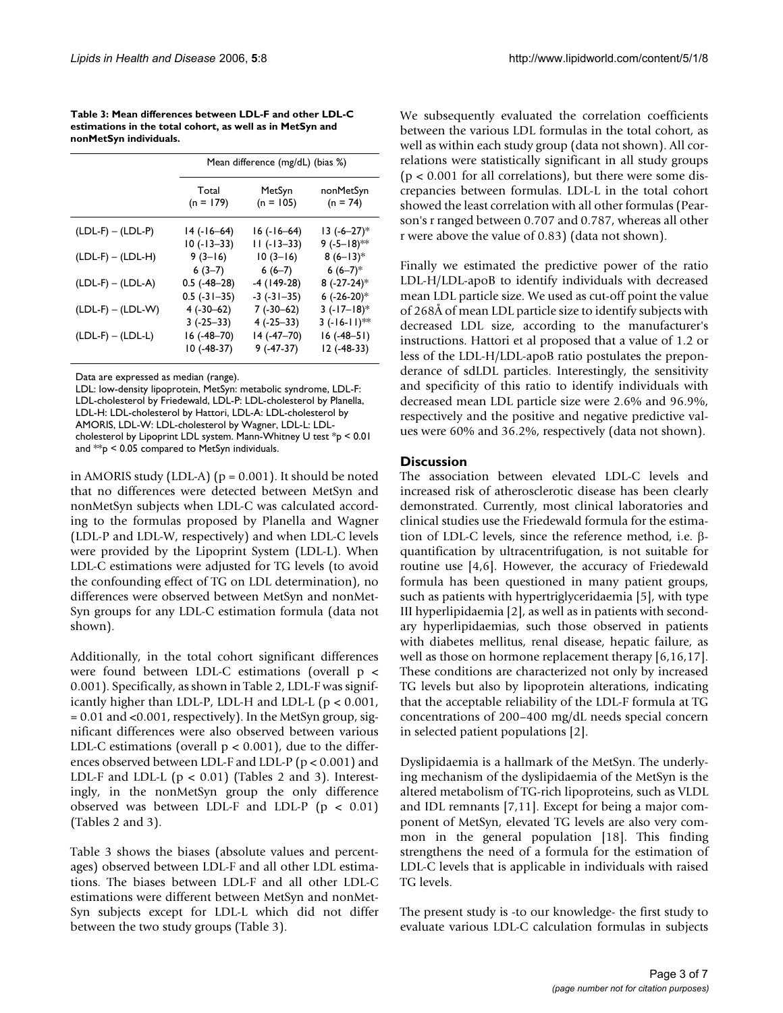|                     | Mean difference (mg/dL) (bias %) |                       |                           |  |
|---------------------|----------------------------------|-----------------------|---------------------------|--|
|                     | Total<br>$(n = 179)$             | MetSyn<br>$(n = 105)$ | nonMetSyn<br>$(n = 74)$   |  |
| $(LDL-F) - (LDL-P)$ | 14 (-16–64)                      | 16 (-16–64)           | $13 (-6 - 27)^*$          |  |
|                     | $10(-13-33)$                     | $11(-13-33)$          | $9(-5-18)$ **             |  |
| $(LDL-F) - (LDL-H)$ | $9(3-16)$                        | $10(3-16)$            | $8(6-13)*$                |  |
|                     | $6(3-7)$                         | $6(6-7)$              | $6(6-7)*$                 |  |
| $(LDL-F) - (LDL-A)$ | $0.5$ (-48-28)                   | -4 (149-28)           | $8(-27-24)$ *             |  |
|                     | $0.5(-31-35)$                    | $-3$ ( $-31-35$ )     | $6$ (-26-20) <sup>*</sup> |  |
| $(LDL-F) - (LDL-W)$ | $4(.30-62)$                      | $7(-30-62)$           | $3(-17-18)$ <sup>*</sup>  |  |
|                     | $3(-25-33)$                      | $4(.25-33)$           | $3(-16-11)$ **            |  |
| $(LDL-F) - (LDL-L)$ | $16 (+48 - 70)$                  | 14 (-47–70)           | $16(.48-51)$              |  |
|                     | 10 (-48-37)                      | $9(.47-37)$           | I2 (-48-33)               |  |

**Table 3: Mean differences between LDL-F and other LDL-C estimations in the total cohort, as well as in MetSyn and nonMetSyn individuals.**

Data are expressed as median (range).

LDL: low-density lipoprotein, MetSyn: metabolic syndrome, LDL-F: LDL-cholesterol by Friedewald, LDL-P: LDL-cholesterol by Planella, LDL-H: LDL-cholesterol by Hattori, LDL-A: LDL-cholesterol by AMORIS, LDL-W: LDL-cholesterol by Wagner, LDL-L: LDLcholesterol by Lipoprint LDL system. Mann-Whitney U test \*p < 0.01 and  $*$  $p$  < 0.05 compared to MetSyn individuals.

in AMORIS study (LDL-A) ( $p = 0.001$ ). It should be noted that no differences were detected between MetSyn and nonMetSyn subjects when LDL-C was calculated according to the formulas proposed by Planella and Wagner (LDL-P and LDL-W, respectively) and when LDL-C levels were provided by the Lipoprint System (LDL-L). When LDL-C estimations were adjusted for TG levels (to avoid the confounding effect of TG on LDL determination), no differences were observed between MetSyn and nonMet-Syn groups for any LDL-C estimation formula (data not shown).

Additionally, in the total cohort significant differences were found between LDL-C estimations (overall p < 0.001). Specifically, as shown in Table 2, LDL-F was significantly higher than LDL-P, LDL-H and LDL-L (p < 0.001, = 0.01 and <0.001, respectively). In the MetSyn group, significant differences were also observed between various LDL-C estimations (overall  $p < 0.001$ ), due to the differences observed between LDL-F and LDL-P (p < 0.001) and LDL-F and LDL-L ( $p < 0.01$ ) (Tables 2 and 3). Interestingly, in the nonMetSyn group the only difference observed was between LDL-F and LDL-P ( $p < 0.01$ ) (Tables 2 and 3).

Table 3 shows the biases (absolute values and percentages) observed between LDL-F and all other LDL estimations. The biases between LDL-F and all other LDL-C estimations were different between MetSyn and nonMet-Syn subjects except for LDL-L which did not differ between the two study groups (Table 3).

We subsequently evaluated the correlation coefficients between the various LDL formulas in the total cohort, as well as within each study group (data not shown). All correlations were statistically significant in all study groups  $(p < 0.001$  for all correlations), but there were some discrepancies between formulas. LDL-L in the total cohort showed the least correlation with all other formulas (Pearson's r ranged between 0.707 and 0.787, whereas all other r were above the value of 0.83) (data not shown).

Finally we estimated the predictive power of the ratio LDL-H/LDL-apoB to identify individuals with decreased mean LDL particle size. We used as cut-off point the value of 268Å of mean LDL particle size to identify subjects with decreased LDL size, according to the manufacturer's instructions. Hattori et al proposed that a value of 1.2 or less of the LDL-H/LDL-apoB ratio postulates the preponderance of sdLDL particles. Interestingly, the sensitivity and specificity of this ratio to identify individuals with decreased mean LDL particle size were 2.6% and 96.9%, respectively and the positive and negative predictive values were 60% and 36.2%, respectively (data not shown).

#### **Discussion**

The association between elevated LDL-C levels and increased risk of atherosclerotic disease has been clearly demonstrated. Currently, most clinical laboratories and clinical studies use the Friedewald formula for the estimation of LDL-C levels, since the reference method, i.e. βquantification by ultracentrifugation, is not suitable for routine use [4,6]. However, the accuracy of Friedewald formula has been questioned in many patient groups, such as patients with hypertriglyceridaemia [5], with type III hyperlipidaemia [2], as well as in patients with secondary hyperlipidaemias, such those observed in patients with diabetes mellitus, renal disease, hepatic failure, as well as those on hormone replacement therapy [6,16,17]. These conditions are characterized not only by increased TG levels but also by lipoprotein alterations, indicating that the acceptable reliability of the LDL-F formula at TG concentrations of 200–400 mg/dL needs special concern in selected patient populations [2].

Dyslipidaemia is a hallmark of the MetSyn. The underlying mechanism of the dyslipidaemia of the MetSyn is the altered metabolism of TG-rich lipoproteins, such as VLDL and IDL remnants [7,11]. Except for being a major component of MetSyn, elevated TG levels are also very common in the general population [18]. This finding strengthens the need of a formula for the estimation of LDL-C levels that is applicable in individuals with raised TG levels.

The present study is -to our knowledge- the first study to evaluate various LDL-C calculation formulas in subjects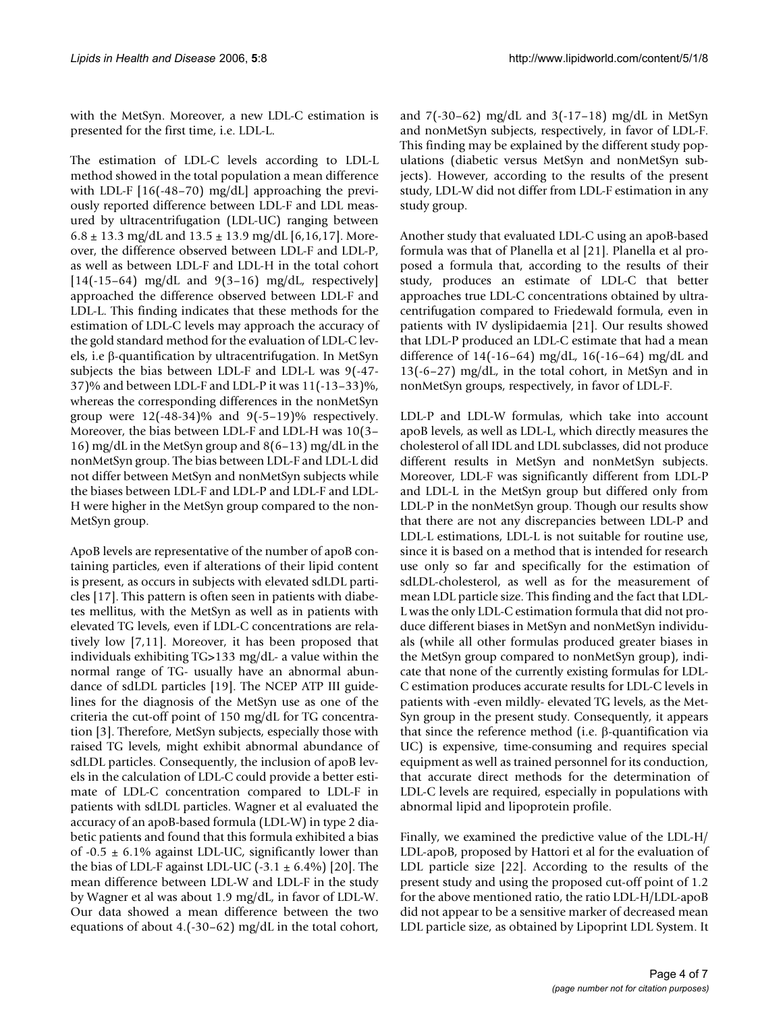with the MetSyn. Moreover, a new LDL-C estimation is presented for the first time, i.e. LDL-L.

The estimation of LDL-C levels according to LDL-L method showed in the total population a mean difference with LDL-F [16(-48–70) mg/dL] approaching the previously reported difference between LDL-F and LDL measured by ultracentrifugation (LDL-UC) ranging between  $6.8 \pm 13.3$  mg/dL and  $13.5 \pm 13.9$  mg/dL [6,16,17]. Moreover, the difference observed between LDL-F and LDL-P, as well as between LDL-F and LDL-H in the total cohort  $[14(-15-64)$  mg/dL and  $9(3-16)$  mg/dL, respectively] approached the difference observed between LDL-F and LDL-L. This finding indicates that these methods for the estimation of LDL-C levels may approach the accuracy of the gold standard method for the evaluation of LDL-C levels, i.e β-quantification by ultracentrifugation. In MetSyn subjects the bias between LDL-F and LDL-L was 9(-47- 37)% and between LDL-F and LDL-P it was 11(-13–33)%, whereas the corresponding differences in the nonMetSyn group were  $12(-48-34)\%$  and  $9(-5-19)\%$  respectively. Moreover, the bias between LDL-F and LDL-H was 10(3– 16) mg/dL in the MetSyn group and 8(6–13) mg/dL in the nonMetSyn group. The bias between LDL-F and LDL-L did not differ between MetSyn and nonMetSyn subjects while the biases between LDL-F and LDL-P and LDL-F and LDL-H were higher in the MetSyn group compared to the non-MetSyn group.

ApoB levels are representative of the number of apoB containing particles, even if alterations of their lipid content is present, as occurs in subjects with elevated sdLDL particles [17]. This pattern is often seen in patients with diabetes mellitus, with the MetSyn as well as in patients with elevated TG levels, even if LDL-C concentrations are relatively low [7,11]. Moreover, it has been proposed that individuals exhibiting TG>133 mg/dL- a value within the normal range of TG- usually have an abnormal abundance of sdLDL particles [19]. The NCEP ATP III guidelines for the diagnosis of the MetSyn use as one of the criteria the cut-off point of 150 mg/dL for TG concentration [3]. Therefore, MetSyn subjects, especially those with raised TG levels, might exhibit abnormal abundance of sdLDL particles. Consequently, the inclusion of apoB levels in the calculation of LDL-C could provide a better estimate of LDL-C concentration compared to LDL-F in patients with sdLDL particles. Wagner et al evaluated the accuracy of an apoB-based formula (LDL-W) in type 2 diabetic patients and found that this formula exhibited a bias of  $-0.5 \pm 6.1\%$  against LDL-UC, significantly lower than the bias of LDL-F against LDL-UC  $(-3.1 \pm 6.4\%)$  [20]. The mean difference between LDL-W and LDL-F in the study by Wagner et al was about 1.9 mg/dL, in favor of LDL-W. Our data showed a mean difference between the two equations of about 4.(-30–62) mg/dL in the total cohort,

and  $7(-30-62)$  mg/dL and  $3(-17-18)$  mg/dL in MetSyn and nonMetSyn subjects, respectively, in favor of LDL-F. This finding may be explained by the different study populations (diabetic versus MetSyn and nonMetSyn subjects). However, according to the results of the present study, LDL-W did not differ from LDL-F estimation in any study group.

Another study that evaluated LDL-C using an apoB-based formula was that of Planella et al [21]. Planella et al proposed a formula that, according to the results of their study, produces an estimate of LDL-C that better approaches true LDL-C concentrations obtained by ultracentrifugation compared to Friedewald formula, even in patients with IV dyslipidaemia [21]. Our results showed that LDL-P produced an LDL-C estimate that had a mean difference of 14(-16–64) mg/dL, 16(-16–64) mg/dL and 13(-6–27) mg/dL, in the total cohort, in MetSyn and in nonMetSyn groups, respectively, in favor of LDL-F.

LDL-P and LDL-W formulas, which take into account apoB levels, as well as LDL-L, which directly measures the cholesterol of all IDL and LDL subclasses, did not produce different results in MetSyn and nonMetSyn subjects. Moreover, LDL-F was significantly different from LDL-P and LDL-L in the MetSyn group but differed only from LDL-P in the nonMetSyn group. Though our results show that there are not any discrepancies between LDL-P and LDL-L estimations, LDL-L is not suitable for routine use, since it is based on a method that is intended for research use only so far and specifically for the estimation of sdLDL-cholesterol, as well as for the measurement of mean LDL particle size. This finding and the fact that LDL-L was the only LDL-C estimation formula that did not produce different biases in MetSyn and nonMetSyn individuals (while all other formulas produced greater biases in the MetSyn group compared to nonMetSyn group), indicate that none of the currently existing formulas for LDL-C estimation produces accurate results for LDL-C levels in patients with -even mildly- elevated TG levels, as the Met-Syn group in the present study. Consequently, it appears that since the reference method (i.e. β-quantification via UC) is expensive, time-consuming and requires special equipment as well as trained personnel for its conduction, that accurate direct methods for the determination of LDL-C levels are required, especially in populations with abnormal lipid and lipoprotein profile.

Finally, we examined the predictive value of the LDL-H/ LDL-apoB, proposed by Hattori et al for the evaluation of LDL particle size [22]. According to the results of the present study and using the proposed cut-off point of 1.2 for the above mentioned ratio, the ratio LDL-H/LDL-apoB did not appear to be a sensitive marker of decreased mean LDL particle size, as obtained by Lipoprint LDL System. It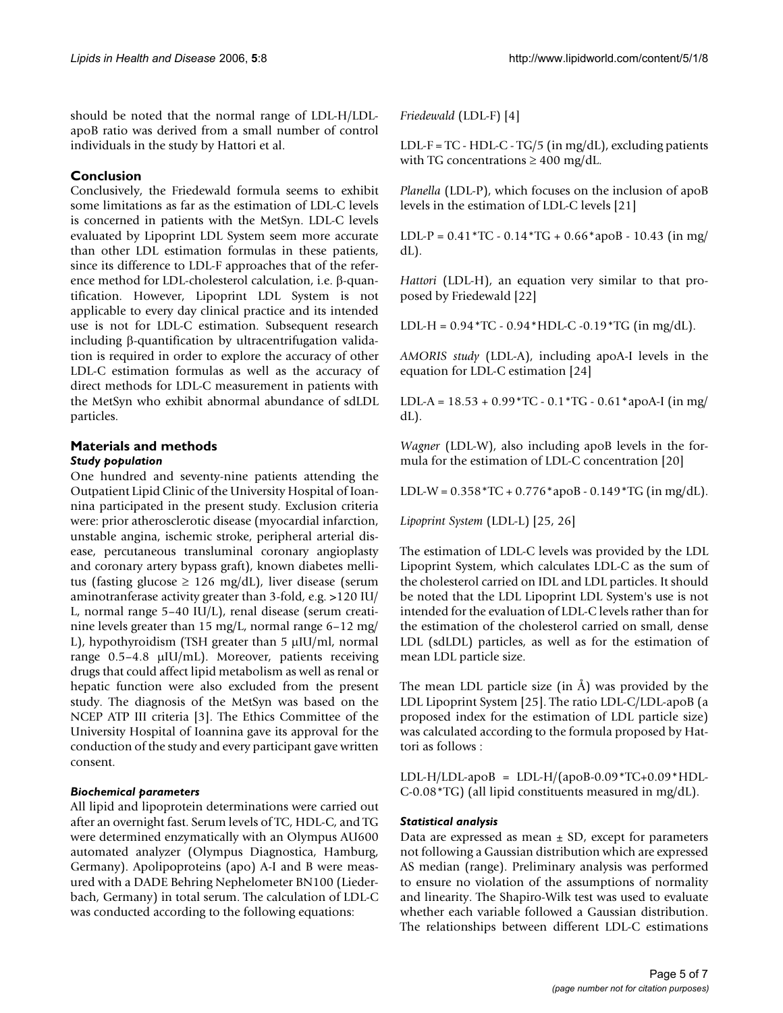should be noted that the normal range of LDL-H/LDLapoB ratio was derived from a small number of control individuals in the study by Hattori et al.

### **Conclusion**

Conclusively, the Friedewald formula seems to exhibit some limitations as far as the estimation of LDL-C levels is concerned in patients with the MetSyn. LDL-C levels evaluated by Lipoprint LDL System seem more accurate than other LDL estimation formulas in these patients, since its difference to LDL-F approaches that of the reference method for LDL-cholesterol calculation, i.e. β-quantification. However, Lipoprint LDL System is not applicable to every day clinical practice and its intended use is not for LDL-C estimation. Subsequent research including β-quantification by ultracentrifugation validation is required in order to explore the accuracy of other LDL-C estimation formulas as well as the accuracy of direct methods for LDL-C measurement in patients with the MetSyn who exhibit abnormal abundance of sdLDL particles.

#### **Materials and methods** *Study population*

One hundred and seventy-nine patients attending the Outpatient Lipid Clinic of the University Hospital of Ioannina participated in the present study. Exclusion criteria were: prior atherosclerotic disease (myocardial infarction, unstable angina, ischemic stroke, peripheral arterial disease, percutaneous transluminal coronary angioplasty and coronary artery bypass graft), known diabetes mellitus (fasting glucose  $\geq$  126 mg/dL), liver disease (serum aminotranferase activity greater than 3-fold, e.g. >120 IU/ L, normal range 5–40 IU/L), renal disease (serum creatinine levels greater than 15 mg/L, normal range 6–12 mg/ L), hypothyroidism (TSH greater than 5 µIU/ml, normal range 0.5–4.8 µIU/mL). Moreover, patients receiving drugs that could affect lipid metabolism as well as renal or hepatic function were also excluded from the present study. The diagnosis of the MetSyn was based on the NCEP ATP III criteria [3]. The Ethics Committee of the University Hospital of Ioannina gave its approval for the conduction of the study and every participant gave written consent.

#### *Biochemical parameters*

All lipid and lipoprotein determinations were carried out after an overnight fast. Serum levels of TC, HDL-C, and TG were determined enzymatically with an Olympus AU600 automated analyzer (Olympus Diagnostica, Hamburg, Germany). Apolipoproteins (apo) A-I and B were measured with a DADE Behring Nephelometer BN100 (Liederbach, Germany) in total serum. The calculation of LDL-C was conducted according to the following equations:

*Friedewald* (LDL-F) [4]

LDL-F = TC - HDL-C - TG/5 (in mg/dL), excluding patients with TG concentrations  $\geq 400$  mg/dL.

*Planella* (LDL-P), which focuses on the inclusion of apoB levels in the estimation of LDL-C levels [21]

LDL-P =  $0.41*TC - 0.14*TG + 0.66*apob - 10.43$  (in mg/ dL).

*Hattori* (LDL-H), an equation very similar to that proposed by Friedewald [22]

LDL-H =  $0.94$  \*TC -  $0.94$  \*HDL-C - $0.19$  \*TG (in mg/dL).

*AMORIS study* (LDL-A), including apoA-I levels in the equation for LDL-C estimation [24]

LDL-A =  $18.53 + 0.99*TC - 0.1*TG - 0.61*apoA-I (in mg)$ dL).

*Wagner* (LDL-W), also including apoB levels in the formula for the estimation of LDL-C concentration [20]

LDL-W =  $0.358*TC + 0.776*apob - 0.149*TG (in mg/dL)$ .

*Lipoprint System* (LDL-L) [25, 26]

The estimation of LDL-C levels was provided by the LDL Lipoprint System, which calculates LDL-C as the sum of the cholesterol carried on IDL and LDL particles. It should be noted that the LDL Lipoprint LDL System's use is not intended for the evaluation of LDL-C levels rather than for the estimation of the cholesterol carried on small, dense LDL (sdLDL) particles, as well as for the estimation of mean LDL particle size.

The mean LDL particle size (in Å) was provided by the LDL Lipoprint System [25]. The ratio LDL-C/LDL-apoB (a proposed index for the estimation of LDL particle size) was calculated according to the formula proposed by Hattori as follows :

LDL-H/LDL-apoB = LDL-H/(apoB-0.09\*TC+0.09\*HDL-C-0.08\*TG) (all lipid constituents measured in mg/dL).

#### *Statistical analysis*

Data are expressed as mean  $\pm$  SD, except for parameters not following a Gaussian distribution which are expressed AS median (range). Preliminary analysis was performed to ensure no violation of the assumptions of normality and linearity. The Shapiro-Wilk test was used to evaluate whether each variable followed a Gaussian distribution. The relationships between different LDL-C estimations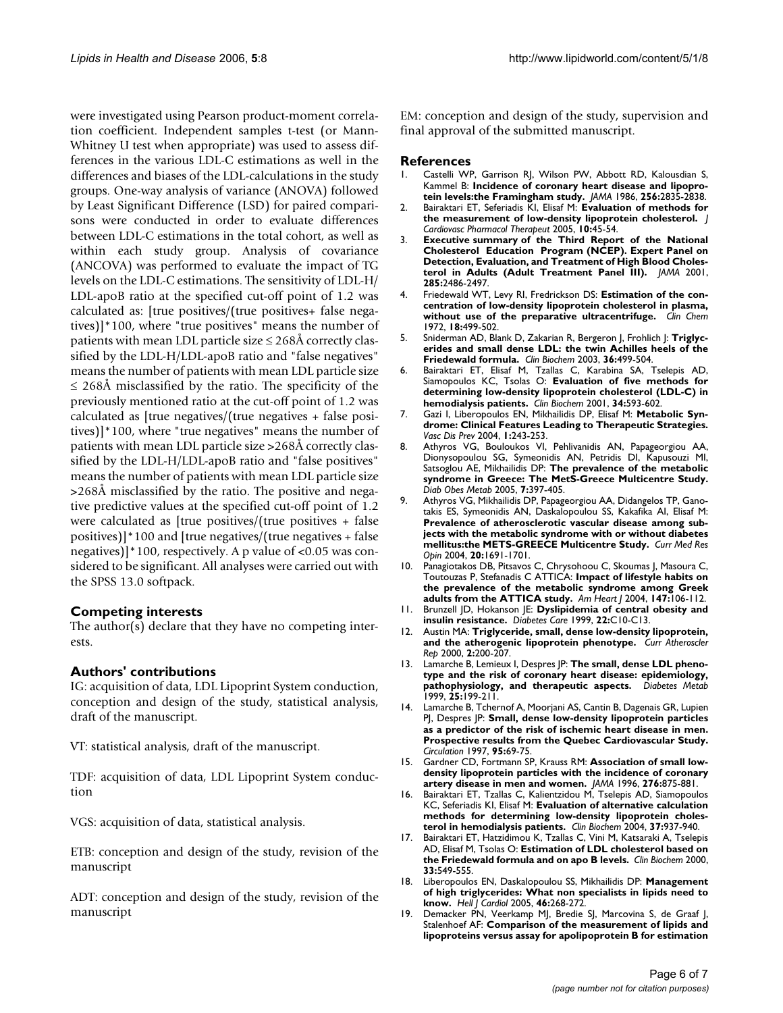were investigated using Pearson product-moment correlation coefficient. Independent samples t-test (or Mann-Whitney U test when appropriate) was used to assess differences in the various LDL-C estimations as well in the differences and biases of the LDL-calculations in the study groups. One-way analysis of variance (ANOVA) followed by Least Significant Difference (LSD) for paired comparisons were conducted in order to evaluate differences between LDL-C estimations in the total cohort, as well as within each study group. Analysis of covariance (ANCOVA) was performed to evaluate the impact of TG levels on the LDL-C estimations. The sensitivity of LDL-H/ LDL-apoB ratio at the specified cut-off point of 1.2 was calculated as: [true positives/(true positives+ false negatives)]\*100, where "true positives" means the number of patients with mean LDL particle size  $\leq$  268Å correctly classified by the LDL-H/LDL-apoB ratio and "false negatives" means the number of patients with mean LDL particle size  $\leq$  268Å misclassified by the ratio. The specificity of the previously mentioned ratio at the cut-off point of 1.2 was calculated as [true negatives/(true negatives + false positives)]\*100, where "true negatives" means the number of patients with mean LDL particle size >268Å correctly classified by the LDL-H/LDL-apoB ratio and "false positives" means the number of patients with mean LDL particle size >268Å misclassified by the ratio. The positive and negative predictive values at the specified cut-off point of 1.2 were calculated as [true positives/(true positives + false positives)]\*100 and [true negatives/(true negatives + false negatives)]\*100, respectively. A p value of <0.05 was considered to be significant. All analyses were carried out with the SPSS 13.0 softpack.

#### **Competing interests**

The author(s) declare that they have no competing interests.

#### **Authors' contributions**

IG: acquisition of data, LDL Lipoprint System conduction, conception and design of the study, statistical analysis, draft of the manuscript.

VT: statistical analysis, draft of the manuscript.

TDF: acquisition of data, LDL Lipoprint System conduction

VGS: acquisition of data, statistical analysis.

ETB: conception and design of the study, revision of the manuscript

ADT: conception and design of the study, revision of the manuscript

EM: conception and design of the study, supervision and final approval of the submitted manuscript.

#### **References**

- 1. Castelli WP, Garrison RJ, Wilson PW, Abbott RD, Kalousdian S, Kammel B: **[Incidence of coronary heart disease and lipopro](http://www.ncbi.nlm.nih.gov/entrez/query.fcgi?cmd=Retrieve&db=PubMed&dopt=Abstract&list_uids=3773200)[tein levels:the Framingham study.](http://www.ncbi.nlm.nih.gov/entrez/query.fcgi?cmd=Retrieve&db=PubMed&dopt=Abstract&list_uids=3773200)** *JAMA* 1986, **256:**2835-2838.
- 2. Bairaktari ET, Seferiadis KI, Elisaf M: **Evaluation of methods for the measurement of low-density lipoprotein cholesterol.** *J Cardiovasc Pharmacol Therapeut* 2005, **10:**45-54.
- 3. **[Executive summary of the Third Report of the National](http://www.ncbi.nlm.nih.gov/entrez/query.fcgi?cmd=Retrieve&db=PubMed&dopt=Abstract&list_uids=11368702) Cholesterol Education Program (NCEP). Expert Panel on [Detection, Evaluation, and Treatment of High Blood Choles](http://www.ncbi.nlm.nih.gov/entrez/query.fcgi?cmd=Retrieve&db=PubMed&dopt=Abstract&list_uids=11368702)[terol in Adults \(Adult Treatment Panel III\).](http://www.ncbi.nlm.nih.gov/entrez/query.fcgi?cmd=Retrieve&db=PubMed&dopt=Abstract&list_uids=11368702)** *JAMA* 2001, **285:**2486-2497.
- 4. Friedewald WT, Levy RI, Fredrickson DS: **[Estimation of the con](http://www.ncbi.nlm.nih.gov/entrez/query.fcgi?cmd=Retrieve&db=PubMed&dopt=Abstract&list_uids=4337382)[centration of low-density lipoprotein cholesterol in plasma,](http://www.ncbi.nlm.nih.gov/entrez/query.fcgi?cmd=Retrieve&db=PubMed&dopt=Abstract&list_uids=4337382) [without use of the preparative ultracentrifuge.](http://www.ncbi.nlm.nih.gov/entrez/query.fcgi?cmd=Retrieve&db=PubMed&dopt=Abstract&list_uids=4337382)** *Clin Chem* 1972, **18:**499-502.
- 5. Sniderman AD, Blank D, Zakarian R, Bergeron J, Frohlich J: **[Triglyc](http://www.ncbi.nlm.nih.gov/entrez/query.fcgi?cmd=Retrieve&db=PubMed&dopt=Abstract&list_uids=14563441)[erides and small dense LDL: the twin Achilles heels of the](http://www.ncbi.nlm.nih.gov/entrez/query.fcgi?cmd=Retrieve&db=PubMed&dopt=Abstract&list_uids=14563441) [Friedewald formula.](http://www.ncbi.nlm.nih.gov/entrez/query.fcgi?cmd=Retrieve&db=PubMed&dopt=Abstract&list_uids=14563441)** *Clin Biochem* 2003, **36:**499-504.
- 6. Bairaktari ET, Elisaf M, Tzallas C, Karabina SA, Tselepis AD, Siamopoulos KC, Tsolas O: **[Evaluation of five methods for](http://www.ncbi.nlm.nih.gov/entrez/query.fcgi?cmd=Retrieve&db=PubMed&dopt=Abstract&list_uids=11849617) [determining low-density lipoprotein cholesterol \(LDL-C\) in](http://www.ncbi.nlm.nih.gov/entrez/query.fcgi?cmd=Retrieve&db=PubMed&dopt=Abstract&list_uids=11849617) [hemodialysis patients.](http://www.ncbi.nlm.nih.gov/entrez/query.fcgi?cmd=Retrieve&db=PubMed&dopt=Abstract&list_uids=11849617)** *Clin Biochem* 2001, **34:**593-602.
- 7. Gazi I, Liberopoulos EN, Mikhailidis DP, Elisaf M: **Metabolic Syndrome: Clinical Features Leading to Therapeutic Strategies.** *Vasc Dis Prev* 2004, **1:**243-253.
- 8. Athyros VG, Bouloukos VI, Pehlivanidis AN, Papageorgiou AA, Dionysopoulou SG, Symeonidis AN, Petridis DI, Kapusouzi MI, Satsoglou AE, Mikhailidis DP: **The prevalence of the metabolic syndrome in Greece: The MetS-Greece Multicentre Study.** *Diab Obes Metab* 2005, **7:**397-405.
- 9. Athyros VG, Mikhailidis DP, Papageorgiou AA, Didangelos TP, Ganotakis ES, Symeonidis AN, Daskalopoulou SS, Kakafika AI, Elisaf M: **Prevalence of atherosclerotic vascular disease among sub[jects with the metabolic syndrome with or without diabetes](http://www.ncbi.nlm.nih.gov/entrez/query.fcgi?cmd=Retrieve&db=PubMed&dopt=Abstract&list_uids=15587481) [mellitus:the METS-GREECE Multicentre Study.](http://www.ncbi.nlm.nih.gov/entrez/query.fcgi?cmd=Retrieve&db=PubMed&dopt=Abstract&list_uids=15587481)** *Curr Med Res Opin* 2004, **20:**1691-1701.
- 10. Panagiotakos DB, Pitsavos C, Chrysohoou C, Skoumas J, Masoura C, Toutouzas P, Stefanadis C ATTICA: **[Impact of lifestyle habits on](http://www.ncbi.nlm.nih.gov/entrez/query.fcgi?cmd=Retrieve&db=PubMed&dopt=Abstract&list_uids=14691427) [the prevalence of the metabolic syndrome among Greek](http://www.ncbi.nlm.nih.gov/entrez/query.fcgi?cmd=Retrieve&db=PubMed&dopt=Abstract&list_uids=14691427) [adults from the ATTICA study.](http://www.ncbi.nlm.nih.gov/entrez/query.fcgi?cmd=Retrieve&db=PubMed&dopt=Abstract&list_uids=14691427)** *Am Heart J* 2004, **147:**106-112.
- 11. Brunzell JD, Hokanson JE: **[Dyslipidemia of central obesity and](http://www.ncbi.nlm.nih.gov/entrez/query.fcgi?cmd=Retrieve&db=PubMed&dopt=Abstract&list_uids=10189557) [insulin resistance.](http://www.ncbi.nlm.nih.gov/entrez/query.fcgi?cmd=Retrieve&db=PubMed&dopt=Abstract&list_uids=10189557)** *Diabetes Care* 1999, **22:**C10-C13.
- 12. Austin MA: **[Triglyceride, small, dense low-density lipoprotein,](http://www.ncbi.nlm.nih.gov/entrez/query.fcgi?cmd=Retrieve&db=PubMed&dopt=Abstract&list_uids=11122745) [and the atherogenic lipoprotein phenotype.](http://www.ncbi.nlm.nih.gov/entrez/query.fcgi?cmd=Retrieve&db=PubMed&dopt=Abstract&list_uids=11122745)** *Curr Atheroscler Rep* 2000, **2:**200-207.
- 13. Lamarche B, Lemieux I, Despres JP: **[The small, dense LDL pheno](http://www.ncbi.nlm.nih.gov/entrez/query.fcgi?cmd=Retrieve&db=PubMed&dopt=Abstract&list_uids=10499189)[type and the risk of coronary heart disease: epidemiology,](http://www.ncbi.nlm.nih.gov/entrez/query.fcgi?cmd=Retrieve&db=PubMed&dopt=Abstract&list_uids=10499189) [pathophysiology, and therapeutic aspects.](http://www.ncbi.nlm.nih.gov/entrez/query.fcgi?cmd=Retrieve&db=PubMed&dopt=Abstract&list_uids=10499189)** *Diabetes Metab* 1999, **25:**199-211.
- 14. Lamarche B, Tchernof A, Moorjani AS, Cantin B, Dagenais GR, Lupien PJ, Despres JP: **[Small, dense low-density lipoprotein particles](http://www.ncbi.nlm.nih.gov/entrez/query.fcgi?cmd=Retrieve&db=PubMed&dopt=Abstract&list_uids=8994419) as a predictor of the risk of ischemic heart disease in men. [Prospective results from the Quebec Cardiovascular Study.](http://www.ncbi.nlm.nih.gov/entrez/query.fcgi?cmd=Retrieve&db=PubMed&dopt=Abstract&list_uids=8994419)** *Circulation* 1997, **95:**69-75.
- 15. Gardner CD, Fortmann SP, Krauss RM: **[Association of small low](http://www.ncbi.nlm.nih.gov/entrez/query.fcgi?cmd=Retrieve&db=PubMed&dopt=Abstract&list_uids=8782636)[density lipoprotein particles with the incidence of coronary](http://www.ncbi.nlm.nih.gov/entrez/query.fcgi?cmd=Retrieve&db=PubMed&dopt=Abstract&list_uids=8782636) [artery disease in men and women.](http://www.ncbi.nlm.nih.gov/entrez/query.fcgi?cmd=Retrieve&db=PubMed&dopt=Abstract&list_uids=8782636)** *JAMA* 1996, **276:**875-881.
- 16. Bairaktari ET, Tzallas C, Kalientzidou M, Tselepis AD, Siamopoulos KC, Seferiadis KI, Elisaf M: **[Evaluation of alternative calculation](http://www.ncbi.nlm.nih.gov/entrez/query.fcgi?cmd=Retrieve&db=PubMed&dopt=Abstract&list_uids=15369728) [methods for determining low-density lipoprotein choles](http://www.ncbi.nlm.nih.gov/entrez/query.fcgi?cmd=Retrieve&db=PubMed&dopt=Abstract&list_uids=15369728)[terol in hemodialysis patients.](http://www.ncbi.nlm.nih.gov/entrez/query.fcgi?cmd=Retrieve&db=PubMed&dopt=Abstract&list_uids=15369728)** *Clin Biochem* 2004, **37:**937-940.
- 17. Bairaktari ET, Hatzidimou K, Tzallas C, Vini M, Katsaraki A, Tselepis AD, Elisaf M, Tsolas O: **[Estimation of LDL cholesterol based on](http://www.ncbi.nlm.nih.gov/entrez/query.fcgi?cmd=Retrieve&db=PubMed&dopt=Abstract&list_uids=11124340) [the Friedewald formula and on apo B levels.](http://www.ncbi.nlm.nih.gov/entrez/query.fcgi?cmd=Retrieve&db=PubMed&dopt=Abstract&list_uids=11124340)** *Clin Biochem* 2000, **33:**549-555.
- 18. Liberopoulos EN, Daskalopoulou SS, Mikhailidis DP: **Management of high triglycerides: What non specialists in lipids need to know.** *Hell J Cardiol* 2005, **46:**268-272.
- 19. Demacker PN, Veerkamp MJ, Bredie SJ, Marcovina S, de Graaf J, Stalenhoef AF: **[Comparison of the measurement of lipids and](http://www.ncbi.nlm.nih.gov/entrez/query.fcgi?cmd=Retrieve&db=PubMed&dopt=Abstract&list_uids=11164438) [lipoproteins versus assay for apolipoprotein B for estimation](http://www.ncbi.nlm.nih.gov/entrez/query.fcgi?cmd=Retrieve&db=PubMed&dopt=Abstract&list_uids=11164438)**